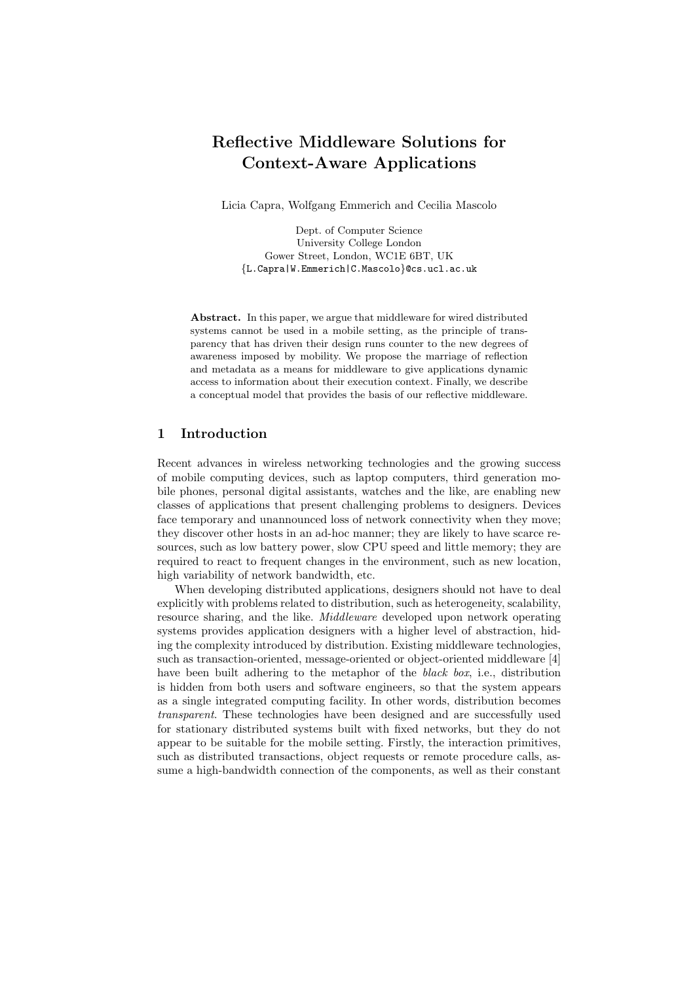# Reflective Middleware Solutions for Context-Aware Applications

Licia Capra, Wolfgang Emmerich and Cecilia Mascolo

Dept. of Computer Science University College London Gower Street, London, WC1E 6BT, UK {L.Capra|W.Emmerich|C.Mascolo}@cs.ucl.ac.uk

Abstract. In this paper, we argue that middleware for wired distributed systems cannot be used in a mobile setting, as the principle of transparency that has driven their design runs counter to the new degrees of awareness imposed by mobility. We propose the marriage of reflection and metadata as a means for middleware to give applications dynamic access to information about their execution context. Finally, we describe a conceptual model that provides the basis of our reflective middleware.

### 1 Introduction

Recent advances in wireless networking technologies and the growing success of mobile computing devices, such as laptop computers, third generation mobile phones, personal digital assistants, watches and the like, are enabling new classes of applications that present challenging problems to designers. Devices face temporary and unannounced loss of network connectivity when they move; they discover other hosts in an ad-hoc manner; they are likely to have scarce resources, such as low battery power, slow CPU speed and little memory; they are required to react to frequent changes in the environment, such as new location, high variability of network bandwidth, etc.

When developing distributed applications, designers should not have to deal explicitly with problems related to distribution, such as heterogeneity, scalability, resource sharing, and the like. *Middleware* developed upon network operating systems provides application designers with a higher level of abstraction, hiding the complexity introduced by distribution. Existing middleware technologies, such as transaction-oriented, message-oriented or object-oriented middleware [4] have been built adhering to the metaphor of the *black box*, i.e., distribution is hidden from both users and software engineers, so that the system appears as a single integrated computing facility. In other words, distribution becomes transparent. These technologies have been designed and are successfully used for stationary distributed systems built with fixed networks, but they do not appear to be suitable for the mobile setting. Firstly, the interaction primitives, such as distributed transactions, object requests or remote procedure calls, assume a high-bandwidth connection of the components, as well as their constant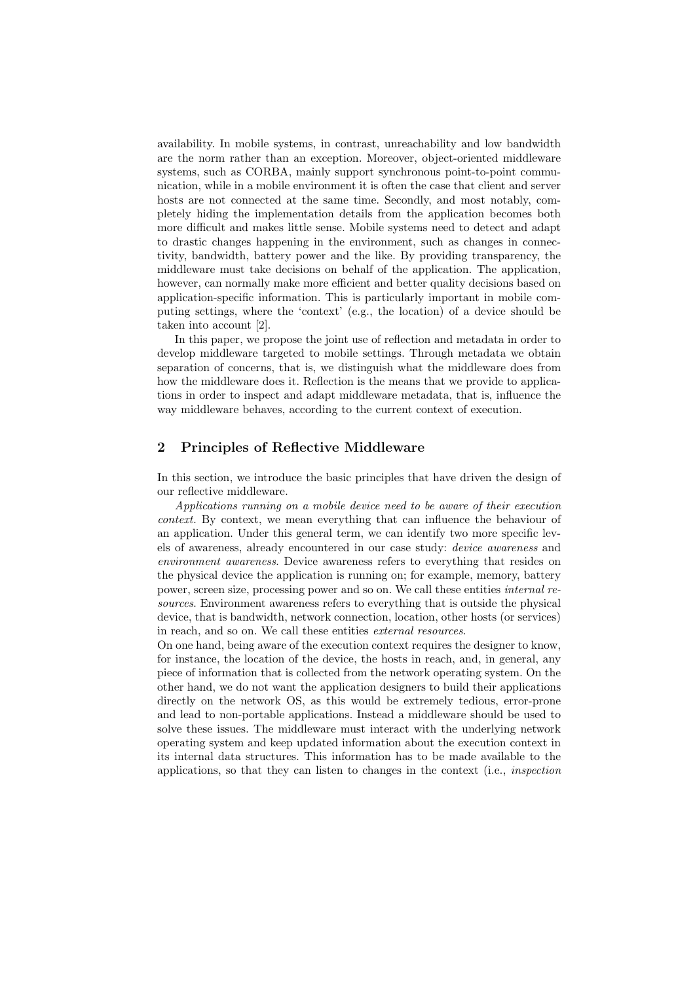availability. In mobile systems, in contrast, unreachability and low bandwidth are the norm rather than an exception. Moreover, object-oriented middleware systems, such as CORBA, mainly support synchronous point-to-point communication, while in a mobile environment it is often the case that client and server hosts are not connected at the same time. Secondly, and most notably, completely hiding the implementation details from the application becomes both more difficult and makes little sense. Mobile systems need to detect and adapt to drastic changes happening in the environment, such as changes in connectivity, bandwidth, battery power and the like. By providing transparency, the middleware must take decisions on behalf of the application. The application, however, can normally make more efficient and better quality decisions based on application-specific information. This is particularly important in mobile computing settings, where the 'context' (e.g., the location) of a device should be taken into account [2].

In this paper, we propose the joint use of reflection and metadata in order to develop middleware targeted to mobile settings. Through metadata we obtain separation of concerns, that is, we distinguish what the middleware does from how the middleware does it. Reflection is the means that we provide to applications in order to inspect and adapt middleware metadata, that is, influence the way middleware behaves, according to the current context of execution.

## 2 Principles of Reflective Middleware

In this section, we introduce the basic principles that have driven the design of our reflective middleware.

Applications running on a mobile device need to be aware of their execution context. By context, we mean everything that can influence the behaviour of an application. Under this general term, we can identify two more specific levels of awareness, already encountered in our case study: device awareness and environment awareness. Device awareness refers to everything that resides on the physical device the application is running on; for example, memory, battery power, screen size, processing power and so on. We call these entities internal resources. Environment awareness refers to everything that is outside the physical device, that is bandwidth, network connection, location, other hosts (or services) in reach, and so on. We call these entities external resources.

On one hand, being aware of the execution context requires the designer to know, for instance, the location of the device, the hosts in reach, and, in general, any piece of information that is collected from the network operating system. On the other hand, we do not want the application designers to build their applications directly on the network OS, as this would be extremely tedious, error-prone and lead to non-portable applications. Instead a middleware should be used to solve these issues. The middleware must interact with the underlying network operating system and keep updated information about the execution context in its internal data structures. This information has to be made available to the applications, so that they can listen to changes in the context (i.e., inspection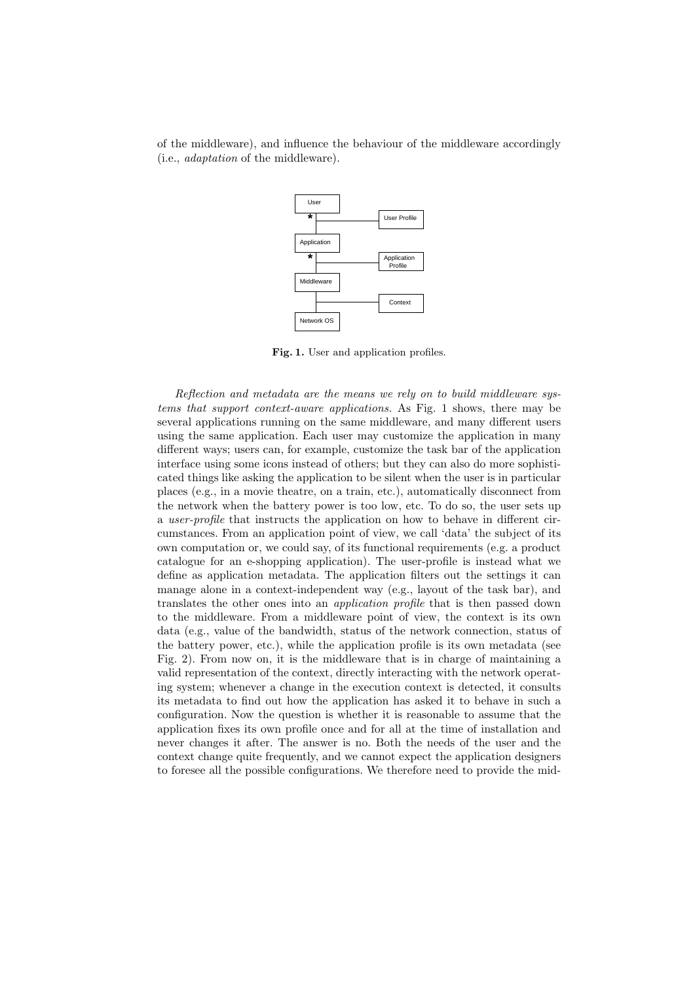of the middleware), and influence the behaviour of the middleware accordingly (i.e., adaptation of the middleware).



Fig. 1. User and application profiles.

Reflection and metadata are the means we rely on to build middleware systems that support context-aware applications. As Fig. 1 shows, there may be several applications running on the same middleware, and many different users using the same application. Each user may customize the application in many different ways; users can, for example, customize the task bar of the application interface using some icons instead of others; but they can also do more sophisticated things like asking the application to be silent when the user is in particular places (e.g., in a movie theatre, on a train, etc.), automatically disconnect from the network when the battery power is too low, etc. To do so, the user sets up a user-profile that instructs the application on how to behave in different circumstances. From an application point of view, we call 'data' the subject of its own computation or, we could say, of its functional requirements (e.g. a product catalogue for an e-shopping application). The user-profile is instead what we define as application metadata. The application filters out the settings it can manage alone in a context-independent way (e.g., layout of the task bar), and translates the other ones into an application profile that is then passed down to the middleware. From a middleware point of view, the context is its own data (e.g., value of the bandwidth, status of the network connection, status of the battery power, etc.), while the application profile is its own metadata (see Fig. 2). From now on, it is the middleware that is in charge of maintaining a valid representation of the context, directly interacting with the network operating system; whenever a change in the execution context is detected, it consults its metadata to find out how the application has asked it to behave in such a configuration. Now the question is whether it is reasonable to assume that the application fixes its own profile once and for all at the time of installation and never changes it after. The answer is no. Both the needs of the user and the context change quite frequently, and we cannot expect the application designers to foresee all the possible configurations. We therefore need to provide the mid-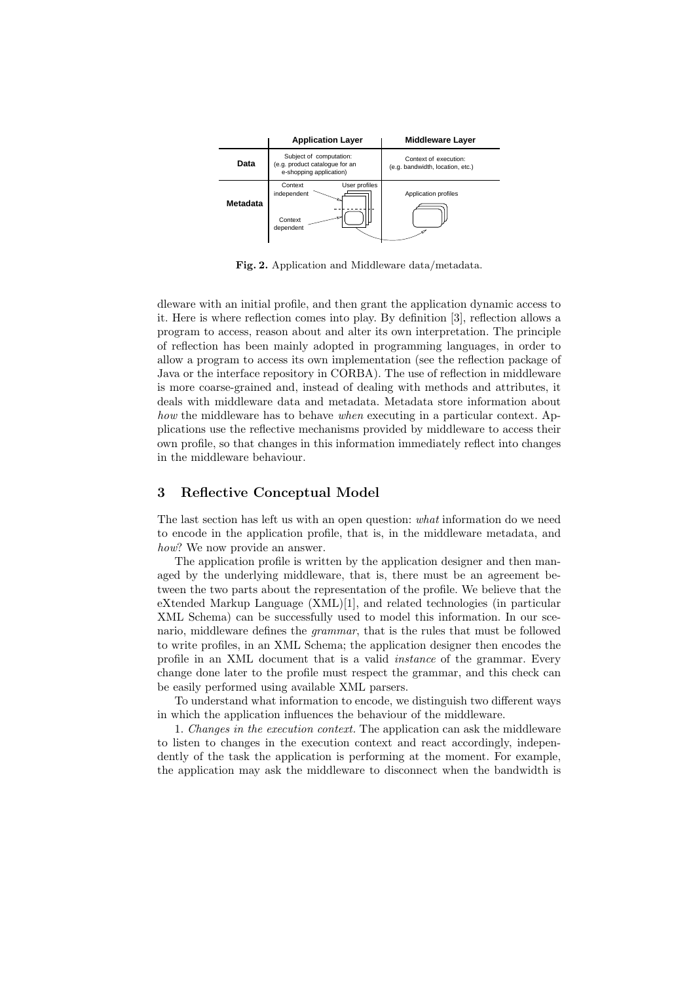

Fig. 2. Application and Middleware data/metadata.

dleware with an initial profile, and then grant the application dynamic access to it. Here is where reflection comes into play. By definition [3], reflection allows a program to access, reason about and alter its own interpretation. The principle of reflection has been mainly adopted in programming languages, in order to allow a program to access its own implementation (see the reflection package of Java or the interface repository in CORBA). The use of reflection in middleware is more coarse-grained and, instead of dealing with methods and attributes, it deals with middleware data and metadata. Metadata store information about how the middleware has to behave when executing in a particular context. Applications use the reflective mechanisms provided by middleware to access their own profile, so that changes in this information immediately reflect into changes in the middleware behaviour.

# 3 Reflective Conceptual Model

The last section has left us with an open question: what information do we need to encode in the application profile, that is, in the middleware metadata, and how? We now provide an answer.

The application profile is written by the application designer and then managed by the underlying middleware, that is, there must be an agreement between the two parts about the representation of the profile. We believe that the eXtended Markup Language (XML)[1], and related technologies (in particular XML Schema) can be successfully used to model this information. In our scenario, middleware defines the grammar, that is the rules that must be followed to write profiles, in an XML Schema; the application designer then encodes the profile in an XML document that is a valid instance of the grammar. Every change done later to the profile must respect the grammar, and this check can be easily performed using available XML parsers.

To understand what information to encode, we distinguish two different ways in which the application influences the behaviour of the middleware.

1. Changes in the execution context. The application can ask the middleware to listen to changes in the execution context and react accordingly, independently of the task the application is performing at the moment. For example, the application may ask the middleware to disconnect when the bandwidth is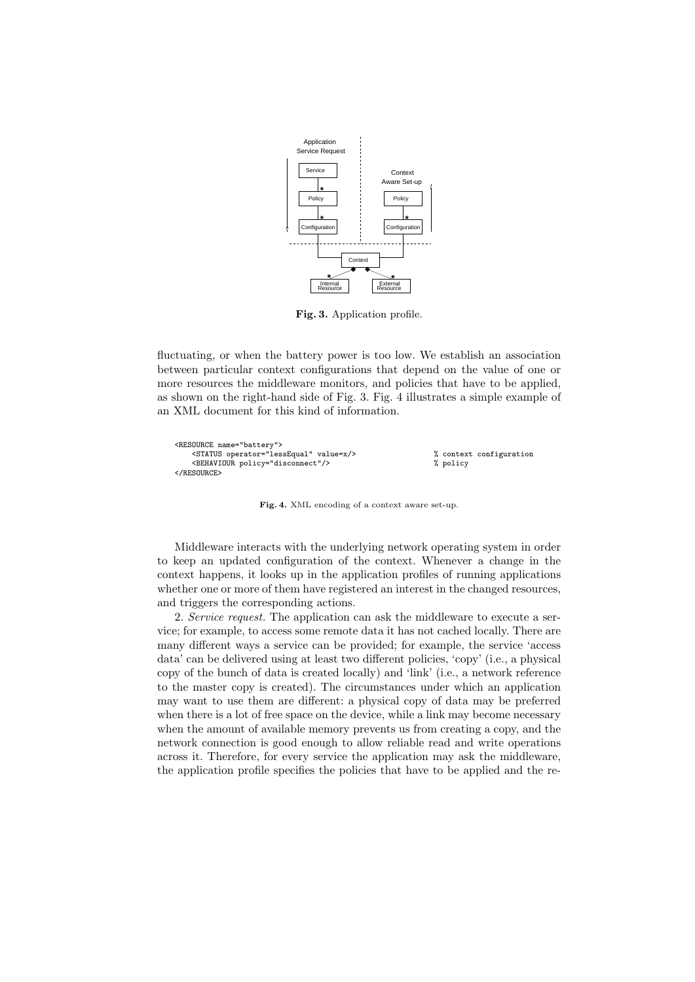

Fig. 3. Application profile.

fluctuating, or when the battery power is too low. We establish an association between particular context configurations that depend on the value of one or more resources the middleware monitors, and policies that have to be applied, as shown on the right-hand side of Fig. 3. Fig. 4 illustrates a simple example of an XML document for this kind of information.

| <resource name="battery"></resource>              |                         |
|---------------------------------------------------|-------------------------|
| <status operator="lessEqual" value="x/"></status> | % context configuration |
| <behaviour policy="disconnect"></behaviour>       | % policy                |
|                                                   |                         |

Fig. 4. XML encoding of a context aware set-up.

Middleware interacts with the underlying network operating system in order to keep an updated configuration of the context. Whenever a change in the context happens, it looks up in the application profiles of running applications whether one or more of them have registered an interest in the changed resources, and triggers the corresponding actions.

2. Service request. The application can ask the middleware to execute a service; for example, to access some remote data it has not cached locally. There are many different ways a service can be provided; for example, the service 'access data' can be delivered using at least two different policies, 'copy' (i.e., a physical copy of the bunch of data is created locally) and 'link' (i.e., a network reference to the master copy is created). The circumstances under which an application may want to use them are different: a physical copy of data may be preferred when there is a lot of free space on the device, while a link may become necessary when the amount of available memory prevents us from creating a copy, and the network connection is good enough to allow reliable read and write operations across it. Therefore, for every service the application may ask the middleware, the application profile specifies the policies that have to be applied and the re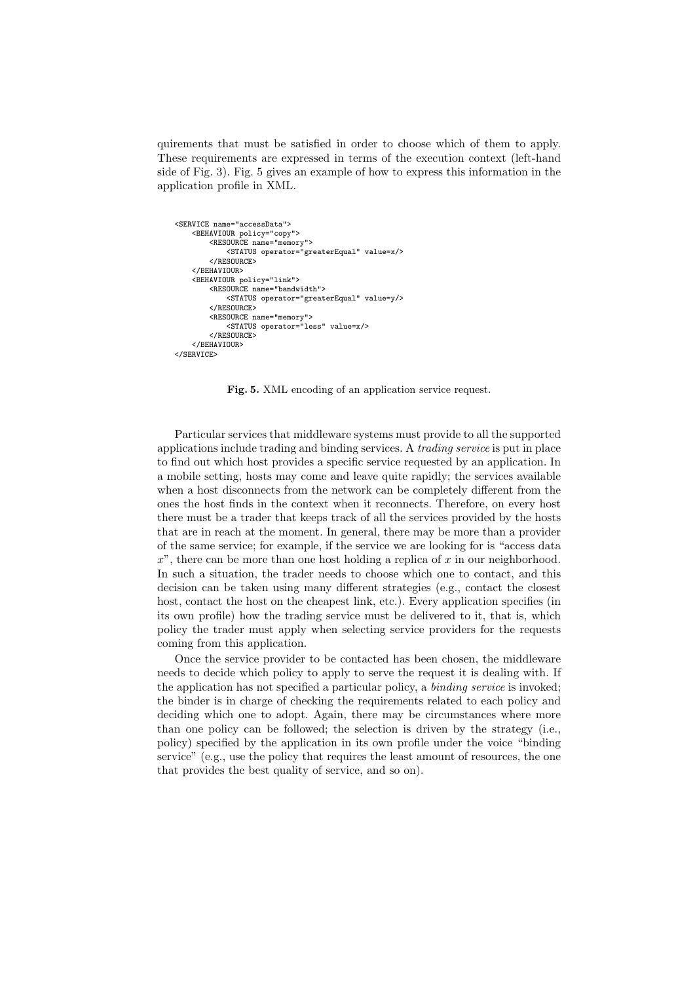quirements that must be satisfied in order to choose which of them to apply. These requirements are expressed in terms of the execution context (left-hand side of Fig. 3). Fig. 5 gives an example of how to express this information in the application profile in XML.

```
<SERVICE name="accessData">
    <BEHAVIOUR policy="copy">
        <RESOURCE name="memory">
            <STATUS operator="greaterEqual" value=x/>
        </RESOURCE>
    </BEHAVIOUR>
    <BEHAVIOUR policy="link">
        <RESOURCE name="bandwidth">
            <STATUS operator="greaterEqual" value=y/>
        </RESOURCE>
        <RESOURCE name="memory">
            <STATUS operator="less" value=x/>
        </RESOURCE>
    </BEHAVIOUR>
</SERVICE>
```
Fig. 5. XML encoding of an application service request.

Particular services that middleware systems must provide to all the supported applications include trading and binding services. A trading service is put in place to find out which host provides a specific service requested by an application. In a mobile setting, hosts may come and leave quite rapidly; the services available when a host disconnects from the network can be completely different from the ones the host finds in the context when it reconnects. Therefore, on every host there must be a trader that keeps track of all the services provided by the hosts that are in reach at the moment. In general, there may be more than a provider of the same service; for example, if the service we are looking for is "access data  $x$ ", there can be more than one host holding a replica of  $x$  in our neighborhood. In such a situation, the trader needs to choose which one to contact, and this decision can be taken using many different strategies (e.g., contact the closest host, contact the host on the cheapest link, etc.). Every application specifies (in its own profile) how the trading service must be delivered to it, that is, which policy the trader must apply when selecting service providers for the requests coming from this application.

Once the service provider to be contacted has been chosen, the middleware needs to decide which policy to apply to serve the request it is dealing with. If the application has not specified a particular policy, a binding service is invoked; the binder is in charge of checking the requirements related to each policy and deciding which one to adopt. Again, there may be circumstances where more than one policy can be followed; the selection is driven by the strategy (i.e., policy) specified by the application in its own profile under the voice "binding service" (e.g., use the policy that requires the least amount of resources, the one that provides the best quality of service, and so on).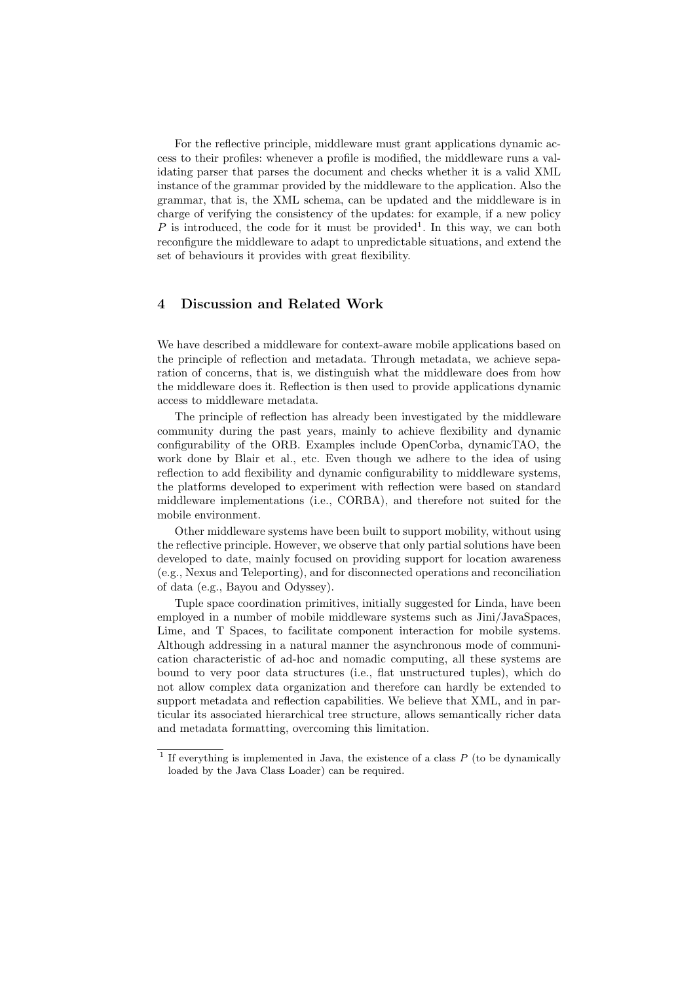For the reflective principle, middleware must grant applications dynamic access to their profiles: whenever a profile is modified, the middleware runs a validating parser that parses the document and checks whether it is a valid XML instance of the grammar provided by the middleware to the application. Also the grammar, that is, the XML schema, can be updated and the middleware is in charge of verifying the consistency of the updates: for example, if a new policy P is introduced, the code for it must be provided<sup>1</sup>. In this way, we can both reconfigure the middleware to adapt to unpredictable situations, and extend the set of behaviours it provides with great flexibility.

#### 4 Discussion and Related Work

We have described a middleware for context-aware mobile applications based on the principle of reflection and metadata. Through metadata, we achieve separation of concerns, that is, we distinguish what the middleware does from how the middleware does it. Reflection is then used to provide applications dynamic access to middleware metadata.

The principle of reflection has already been investigated by the middleware community during the past years, mainly to achieve flexibility and dynamic configurability of the ORB. Examples include OpenCorba, dynamicTAO, the work done by Blair et al., etc. Even though we adhere to the idea of using reflection to add flexibility and dynamic configurability to middleware systems, the platforms developed to experiment with reflection were based on standard middleware implementations (i.e., CORBA), and therefore not suited for the mobile environment.

Other middleware systems have been built to support mobility, without using the reflective principle. However, we observe that only partial solutions have been developed to date, mainly focused on providing support for location awareness (e.g., Nexus and Teleporting), and for disconnected operations and reconciliation of data (e.g., Bayou and Odyssey).

Tuple space coordination primitives, initially suggested for Linda, have been employed in a number of mobile middleware systems such as Jini/JavaSpaces, Lime, and T Spaces, to facilitate component interaction for mobile systems. Although addressing in a natural manner the asynchronous mode of communication characteristic of ad-hoc and nomadic computing, all these systems are bound to very poor data structures (i.e., flat unstructured tuples), which do not allow complex data organization and therefore can hardly be extended to support metadata and reflection capabilities. We believe that XML, and in particular its associated hierarchical tree structure, allows semantically richer data and metadata formatting, overcoming this limitation.

<sup>&</sup>lt;sup>1</sup> If everything is implemented in Java, the existence of a class  $P$  (to be dynamically loaded by the Java Class Loader) can be required.